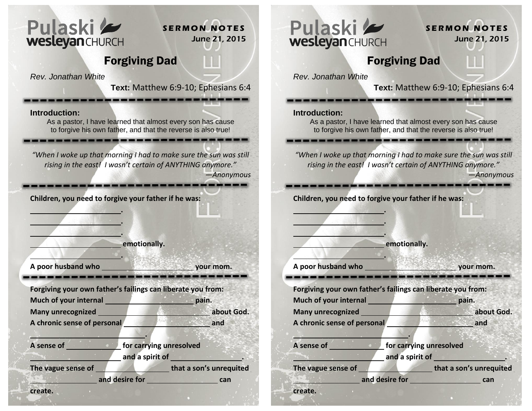

**S E R M O N N O T E S** June 21, 2015

## Forgiving Dad

*Rev. Jonathan White*

**Text:** Matthew 6:9-10; Ephesians 6:4

-------------

**Introduction:** 

As a pastor, I have learned that almost every son has cause to forgive his own father, and that the reverse is also true!

-------------------------

*"When I woke up that morning I had to make sure the sun was still rising in the east! I wasn't certain of ANYTHING anymore."*

*—Anonymous* 

**Children, you need to forgive your father if he was:**

**emotionally.** 

 **.** 

<u> 1989 - De Bernard Barnett, de Bernard bestehen Erste und der Erste und der Erste und der Erste und der Erste und der Erste und der Erste und der Erste und der Erste und der Erste und der Erste und der Erste und der Erste</u>

A poor husband who your mom.

 **. . .** 

**Forgiving your own father's failings can liberate you from: Much of your internal pain.** pain. **Many unrecognized about God. about God.** 

**A chronic sense of personal and and and and** 

**1989 R. L. PREDICT LANDS** 

**A sense of for carrying unresolved** and a spirit of **and a spirit of the set of the set of the set of the set of the set of the set of the set of the set of the set of the set of the set of the set of the set of the set of the set of the set of the set of th** 

The vague sense of **that a son's unrequited** 

**and desire for can can** 

**create.**